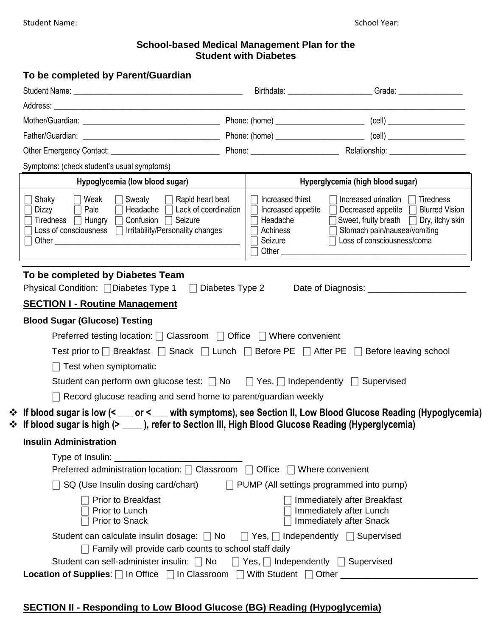#### **School-based Medical Management Plan for the Student with Diabetes**

| To be completed by Parent/Guardian                                                                                                                                                                                                       |                                                                            |                                        |                                                                                                                                                                                                             |  |  |  |
|------------------------------------------------------------------------------------------------------------------------------------------------------------------------------------------------------------------------------------------|----------------------------------------------------------------------------|----------------------------------------|-------------------------------------------------------------------------------------------------------------------------------------------------------------------------------------------------------------|--|--|--|
|                                                                                                                                                                                                                                          |                                                                            |                                        | Birthdate: Grade: Grade:                                                                                                                                                                                    |  |  |  |
|                                                                                                                                                                                                                                          |                                                                            |                                        |                                                                                                                                                                                                             |  |  |  |
|                                                                                                                                                                                                                                          |                                                                            |                                        |                                                                                                                                                                                                             |  |  |  |
|                                                                                                                                                                                                                                          |                                                                            |                                        |                                                                                                                                                                                                             |  |  |  |
|                                                                                                                                                                                                                                          |                                                                            |                                        |                                                                                                                                                                                                             |  |  |  |
| Symptoms: (check student's usual symptoms)                                                                                                                                                                                               |                                                                            |                                        |                                                                                                                                                                                                             |  |  |  |
| Hypoglycemia (low blood sugar)                                                                                                                                                                                                           |                                                                            | Hyperglycemia (high blood sugar)       |                                                                                                                                                                                                             |  |  |  |
| $\Box$ Weak<br>$\Box$ Sweaty $\Box$ Rapid heart beat<br>Shaky<br>Pale<br>Lack of coordination<br>Dizzy<br>Headache $\Box$<br>Tiredness   Hungry   Confusion   Seizure<br>Loss of consciousness $\Box$ Irritability/Personality changes   | Headache<br>Achiness<br>Seizure                                            | Increased thirst<br>Increased appetite | Increased urination $\Box$ Tiredness<br><b>Blurred Vision</b><br>Decreased appetite $\Box$<br>Sweet, fruity breath $\Box$ Dry, itchy skin<br>□ Stomach pain/nausea/vomiting<br>□ Loss of consciousness/coma |  |  |  |
| To be completed by Diabetes Team<br>Physical Condition: □ Diabetes Type 1                                                                                                                                                                | $\Box$ Diabetes Type 2                                                     |                                        |                                                                                                                                                                                                             |  |  |  |
| <b>SECTION I - Routine Management</b>                                                                                                                                                                                                    |                                                                            |                                        |                                                                                                                                                                                                             |  |  |  |
| <b>Blood Sugar (Glucose) Testing</b>                                                                                                                                                                                                     |                                                                            |                                        |                                                                                                                                                                                                             |  |  |  |
| Preferred testing location: $\Box$ Classroom $\Box$ Office $\Box$ Where convenient                                                                                                                                                       |                                                                            |                                        |                                                                                                                                                                                                             |  |  |  |
| Test prior to $\Box$ Breakfast $\Box$ Snack $\Box$ Lunch $\Box$ Before PE $\Box$ After PE $\Box$ Before leaving school                                                                                                                   |                                                                            |                                        |                                                                                                                                                                                                             |  |  |  |
| $\Box$ Test when symptomatic                                                                                                                                                                                                             |                                                                            |                                        |                                                                                                                                                                                                             |  |  |  |
| Student can perform own glucose test: $\Box$ No $\Box$ Yes, $\Box$ Independently $\Box$ Supervised                                                                                                                                       |                                                                            |                                        |                                                                                                                                                                                                             |  |  |  |
| $\Box$ Record glucose reading and send home to parent/guardian weekly                                                                                                                                                                    |                                                                            |                                        |                                                                                                                                                                                                             |  |  |  |
| * If blood sugar is low (< ___ or < ___ with symptoms), see Section II, Low Blood Glucose Reading (Hypoglycemia)<br>❖ If blood sugar is high (> $\rule{1em}{0.15mm}$ ), refer to Section III, High Blood Glucose Reading (Hyperglycemia) |                                                                            |                                        |                                                                                                                                                                                                             |  |  |  |
| <b>Insulin Administration</b>                                                                                                                                                                                                            |                                                                            |                                        |                                                                                                                                                                                                             |  |  |  |
|                                                                                                                                                                                                                                          |                                                                            |                                        |                                                                                                                                                                                                             |  |  |  |
|                                                                                                                                                                                                                                          | Preferred administration location: □ Classroom □ Office □ Where convenient |                                        |                                                                                                                                                                                                             |  |  |  |
| $\Box$ SQ (Use Insulin dosing card/chart)                                                                                                                                                                                                |                                                                            |                                        | $\Box$ PUMP (All settings programmed into pump)                                                                                                                                                             |  |  |  |
| Prior to Breakfast<br>Prior to Lunch<br>Prior to Snack                                                                                                                                                                                   |                                                                            |                                        | Immediately after Breakfast<br>Immediately after Lunch<br>Immediately after Snack                                                                                                                           |  |  |  |
| Student can calculate insulin dosage: $\Box$ No $\Box$ Yes, $\Box$ Independently $\Box$ Supervised                                                                                                                                       |                                                                            |                                        |                                                                                                                                                                                                             |  |  |  |
| $\Box$ Family will provide carb counts to school staff daily                                                                                                                                                                             |                                                                            |                                        |                                                                                                                                                                                                             |  |  |  |
| Student can self-administer insulin: $\Box$ No $\Box$ Yes, $\Box$ Independently $\Box$ Supervised                                                                                                                                        |                                                                            |                                        |                                                                                                                                                                                                             |  |  |  |
| Location of Supplies:   In Office   In Classroom   With Student   Other _______________                                                                                                                                                  |                                                                            |                                        |                                                                                                                                                                                                             |  |  |  |

## **SECTION II - Responding to Low Blood Glucose (BG) Reading (Hypoglycemia)**